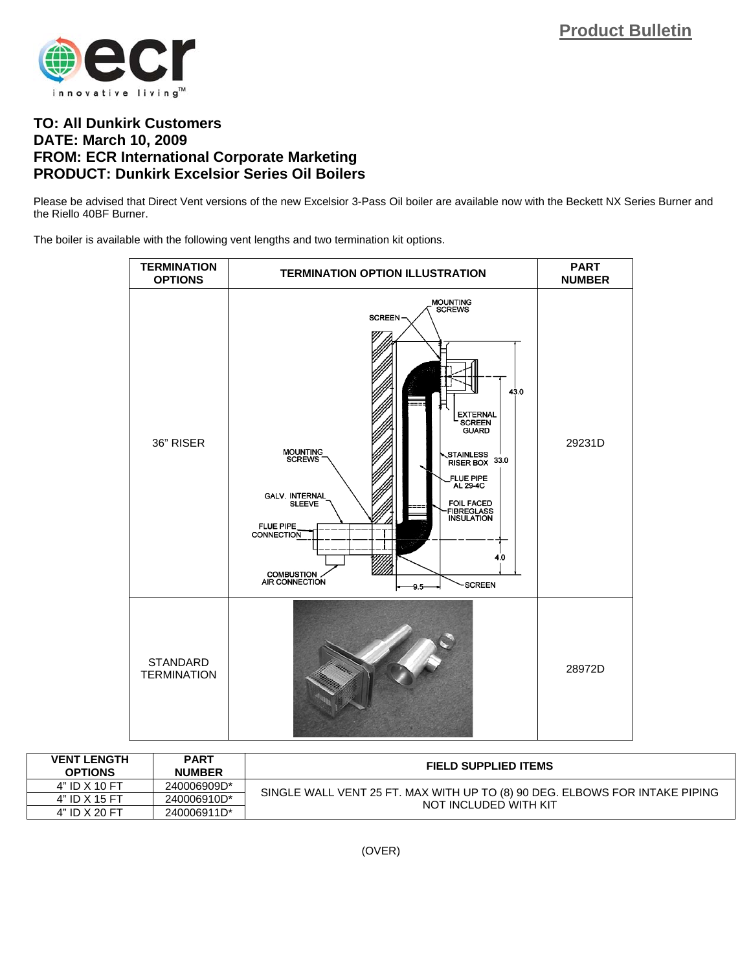

## **TO: All Dunkirk Customers DATE: March 10, 2009 FROM: ECR International Corporate Marketing PRODUCT: Dunkirk Excelsior Series Oil Boilers**

Please be advised that Direct Vent versions of the new Excelsior 3-Pass Oil boiler are available now with the Beckett NX Series Burner and the Riello 40BF Burner.

The boiler is available with the following vent lengths and two termination kit options.



| <b>VENT LENGTH</b><br><b>OPTIONS</b> | <b>PART</b><br><b>NUMBER</b> | <b>FIELD SUPPLIED ITEMS</b>                                                                          |
|--------------------------------------|------------------------------|------------------------------------------------------------------------------------------------------|
| 4" ID X 10 FT                        | 240006909D*                  | SINGLE WALL VENT 25 FT. MAX WITH UP TO (8) 90 DEG. ELBOWS FOR INTAKE PIPING<br>NOT INCLUDED WITH KIT |
| 4" ID X 15 FT                        | 240006910D*                  |                                                                                                      |
| 4" ID X 20 FT                        | 240006911D <sup>*</sup>      |                                                                                                      |